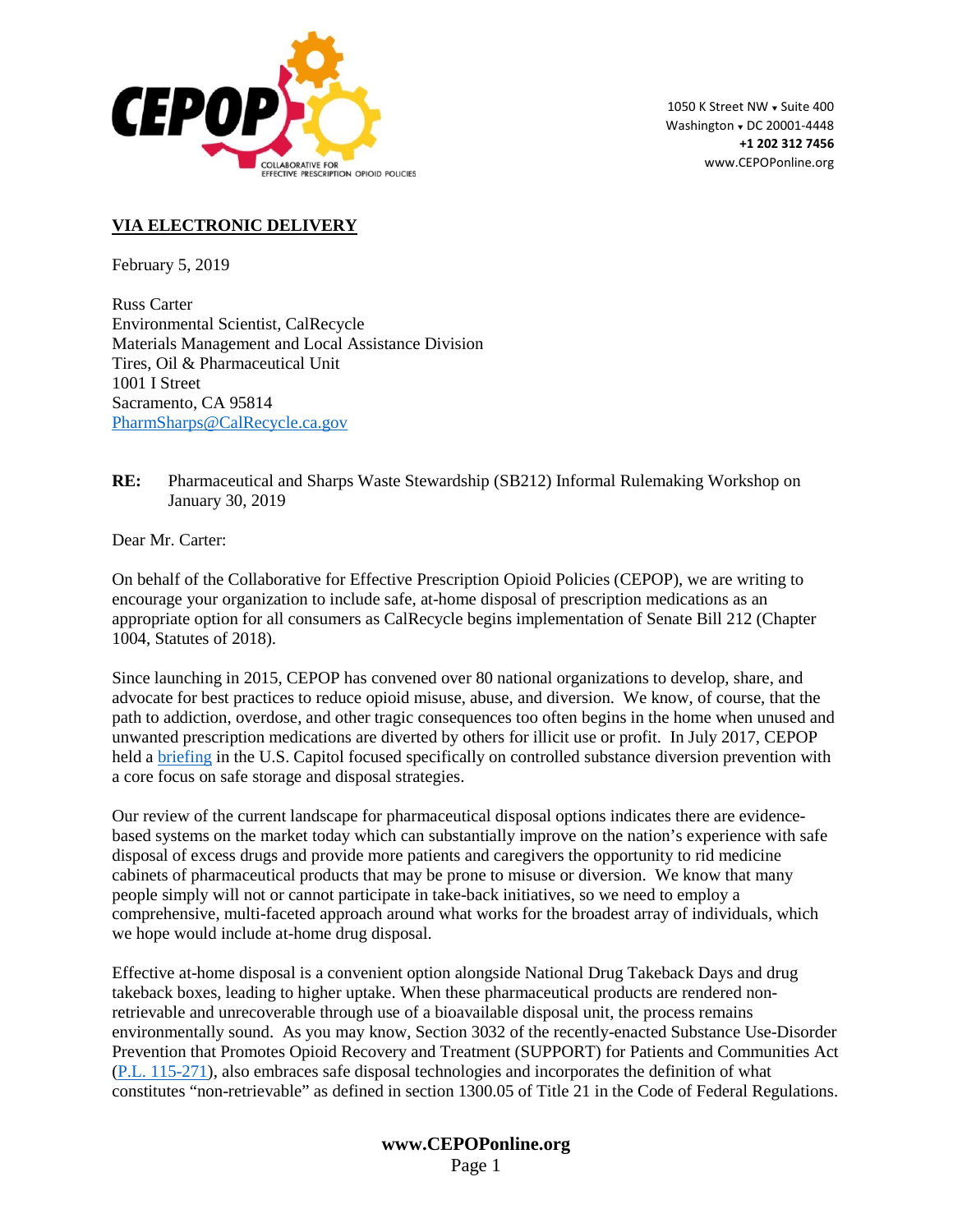

1050 K Street NW . Suite 400 Washington  $\sqrt{}$  DC 20001-4448 **+1 202 312 7456** www.CEPOPonline.org

## **VIA ELECTRONIC DELIVERY**

February 5, 2019

Russ Carter Environmental Scientist, CalRecycle Materials Management and Local Assistance Division Tires, Oil & Pharmaceutical Unit 1001 I Street Sacramento, CA 95814 [PharmSharps@CalRecycle.ca.gov](mailto:PharmSharps@CalRecycle.ca.gov)

**RE:** Pharmaceutical and Sharps Waste Stewardship (SB212) Informal Rulemaking Workshop on January 30, 2019

Dear Mr. Carter:

On behalf of the Collaborative for Effective Prescription Opioid Policies (CEPOP), we are writing to encourage your organization to include safe, at-home disposal of prescription medications as an appropriate option for all consumers as CalRecycle begins implementation of Senate Bill 212 (Chapter 1004, Statutes of 2018).

Since launching in 2015, CEPOP has convened over 80 national organizations to develop, share, and advocate for best practices to reduce opioid misuse, abuse, and diversion. We know, of course, that the path to addiction, overdose, and other tragic consequences too often begins in the home when unused and unwanted prescription medications are diverted by others for illicit use or profit. In July 2017, CEPOP held a [briefing](https://cepoponline.org/wp-content/uploads/2017/08/CEPOP-Congressional-Breifing-Invite-June-2017.pdf) in the U.S. Capitol focused specifically on controlled substance diversion prevention with a core focus on safe storage and disposal strategies.

Our review of the current landscape for pharmaceutical disposal options indicates there are evidencebased systems on the market today which can substantially improve on the nation's experience with safe disposal of excess drugs and provide more patients and caregivers the opportunity to rid medicine cabinets of pharmaceutical products that may be prone to misuse or diversion. We know that many people simply will not or cannot participate in take-back initiatives, so we need to employ a comprehensive, multi-faceted approach around what works for the broadest array of individuals, which we hope would include at-home drug disposal.

Effective at-home disposal is a convenient option alongside National Drug Takeback Days and drug takeback boxes, leading to higher uptake. When these pharmaceutical products are rendered nonretrievable and unrecoverable through use of a bioavailable disposal unit, the process remains environmentally sound. As you may know, Section 3032 of the recently-enacted Substance Use-Disorder Prevention that Promotes Opioid Recovery and Treatment (SUPPORT) for Patients and Communities Act [\(P.L. 115-271\)](https://www.congress.gov/bill/115th-congress/house-bill/6/text), also embraces safe disposal technologies and incorporates the definition of what constitutes "non-retrievable" as defined in section 1300.05 of Title 21 in the Code of Federal Regulations.

## **www.CEPOPonline.org** Page 1